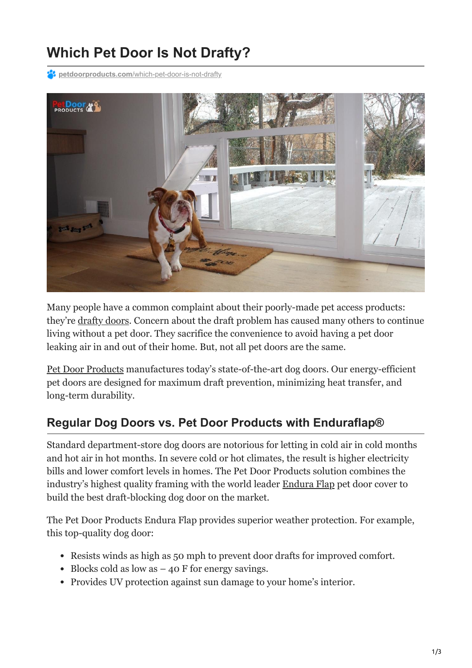# **Which Pet Door Is Not Drafty?**

**P4** petdoorproducts.com[/which-pet-door-is-not-drafty](https://petdoorproducts.com/which-pet-door-is-not-drafty/)



Many people have a common complaint about their poorly-made pet access products: they're [drafty doors.](https://petdoorproducts.com/should-i-upgrade-to-an-energy-efficient-doggie-door/) Concern about the draft problem has caused many others to continue living without a pet door. They sacrifice the convenience to avoid having a pet door leaking air in and out of their home. But, not all pet doors are the same.

[Pet Door Products](https://petdoorproducts.com/how-it-works/) manufactures today's state-of-the-art dog doors. Our energy-efficient pet doors are designed for maximum draft prevention, minimizing heat transfer, and long-term durability.

#### **Regular Dog Doors vs. Pet Door Products with Enduraflap®**

Standard department-store dog doors are notorious for letting in cold air in cold months and hot air in hot months. In severe cold or hot climates, the result is higher electricity bills and lower comfort levels in homes. The Pet Door Products solution combines the industry's highest quality framing with the world leader [Endura Flap](https://petdoorproducts.com/product/sliding-glass-dog-door/) pet door cover to build the best draft-blocking dog door on the market.

The Pet Door Products Endura Flap provides superior weather protection. For example, this top-quality dog door:

- Resists winds as high as 50 mph to prevent door drafts for improved comfort.
- $\bullet$  Blocks cold as low as  $-$  40 F for energy savings.
- Provides UV protection against sun damage to your home's interior.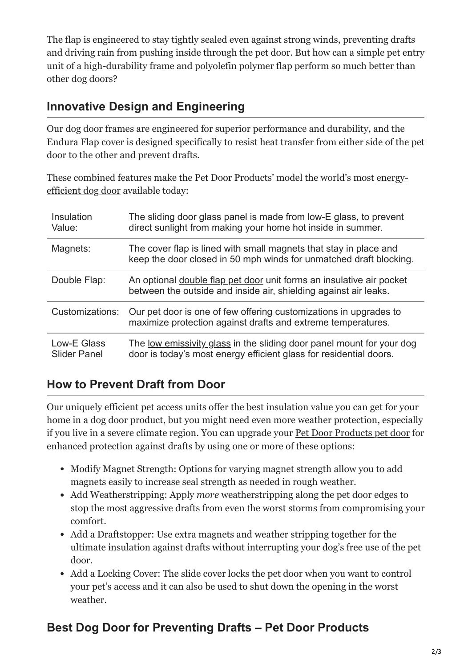The flap is engineered to stay tightly sealed even against strong winds, preventing drafts and driving rain from pushing inside through the pet door. But how can a simple pet entry unit of a high-durability frame and polyolefin polymer flap perform so much better than other dog doors?

#### **Innovative Design and Engineering**

Our dog door frames are engineered for superior performance and durability, and the Endura Flap cover is designed specifically to resist heat transfer from either side of the pet door to the other and prevent drafts.

[These combined features make the Pet Door Products' model the world's most energy](https://petdoorproducts.com/pros-and-cons-of-installing-a-dog-door/)efficient dog door available today:

| Insulation<br>Value:               | The sliding door glass panel is made from low-E glass, to prevent<br>direct sunlight from making your home hot inside in summer.            |
|------------------------------------|---------------------------------------------------------------------------------------------------------------------------------------------|
| Magnets:                           | The cover flap is lined with small magnets that stay in place and<br>keep the door closed in 50 mph winds for unmatched draft blocking.     |
| Double Flap:                       | An optional double flap pet door unit forms an insulative air pocket<br>between the outside and inside air, shielding against air leaks.    |
| Customizations:                    | Our pet door is one of few offering customizations in upgrades to<br>maximize protection against drafts and extreme temperatures.           |
| Low-E Glass<br><b>Slider Panel</b> | The low emissivity glass in the sliding door panel mount for your dog<br>door is today's most energy efficient glass for residential doors. |

### **How to Prevent Draft from Door**

Our uniquely efficient pet access units offer the best insulation value you can get for your home in a dog door product, but you might need even more weather protection, especially if you live in a severe climate region. You can upgrade your [Pet Door Products pet door](https://petdoorproducts.com/pros-and-cons-of-installing-a-dog-door/) for enhanced protection against drafts by using one or more of these options:

- Modify Magnet Strength: Options for varying magnet strength allow you to add magnets easily to increase seal strength as needed in rough weather.
- Add Weatherstripping: Apply *more* weatherstripping along the pet door edges to stop the most aggressive drafts from even the worst storms from compromising your comfort.
- Add a Draftstopper: Use extra magnets and weather stripping together for the ultimate insulation against drafts without interrupting your dog's free use of the pet door.
- Add a Locking Cover: The slide cover locks the pet door when you want to control your pet's access and it can also be used to shut down the opening in the worst weather.

## **Best Dog Door for Preventing Drafts – Pet Door Products**